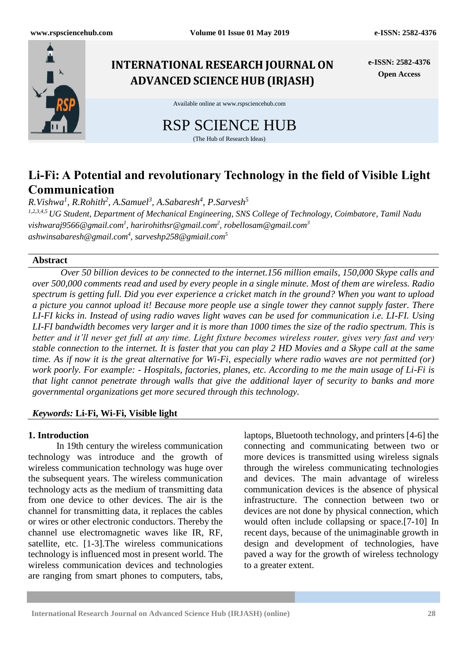

# **Li-Fi: A Potential and revolutionary Technology in the field of Visible Light Communication**

*R.Vishwa<sup>1</sup> , R.Rohith<sup>2</sup> , A.Samuel<sup>3</sup> , A.Sabaresh<sup>4</sup> , P.Sarvesh<sup>5</sup>*

*1,2,3,4,5 UG Student, Department of Mechanical Engineering, SNS College of Technology, Coimbatore, Tamil Nadu vishwaraj9566@gmail.com<sup>1</sup> , harirohithsr@gmail.com<sup>2</sup> , robellosam@gmail.com<sup>3</sup> [ashwinsabaresh@gmail.com](mailto:ashwinsabaresh@gmail.com)<sup>4</sup> , sarveshp258@gmiail.com<sup>5</sup>*

## **Abstract**

*Over 50 billion devices to be connected to the internet.156 million emails, 150,000 Skype calls and over 500,000 comments read and used by every people in a single minute. Most of them are wireless. Radio spectrum is getting full. Did you ever experience a cricket match in the ground? When you want to upload a picture you cannot upload it! Because more people use a single tower they cannot supply faster. There LI-FI kicks in. Instead of using radio waves light waves can be used for communication i.e. LI-FI. Using LI-FI bandwidth becomes very larger and it is more than 1000 times the size of the radio spectrum. This is better and it'll never get full at any time. Light fixture becomes wireless router, gives very fast and very stable connection to the internet. It is faster that you can play 2 HD Movies and a Skype call at the same time. As if now it is the great alternative for Wi-Fi, especially where radio waves are not permitted (or) work poorly. For example: - Hospitals, factories, planes, etc. According to me the main usage of Li-Fi is that light cannot penetrate through walls that give the additional layer of security to banks and more governmental organizations get more secured through this technology.*

## *Keywords:* **Li-Fi, Wi-Fi, Visible light**

## **1. Introduction**

In 19th century the wireless communication technology was introduce and the growth of wireless communication technology was huge over the subsequent years. The wireless communication technology acts as the medium of transmitting data from one device to other devices. The air is the channel for transmitting data, it replaces the cables or wires or other electronic conductors. Thereby the channel use electromagnetic waves like IR, RF, satellite, etc. [1-3].The wireless communications technology is influenced most in present world. The wireless communication devices and technologies are ranging from smart phones to computers, tabs,

laptops, Bluetooth technology, and printers [4-6] the connecting and communicating between two or more devices is transmitted using wireless signals through the wireless communicating technologies and devices. The main advantage of wireless communication devices is the absence of physical infrastructure. The connection between two or devices are not done by physical connection, which would often include collapsing or space.[7-10] In recent days, because of the unimaginable growth in design and development of technologies, have paved a way for the growth of wireless technology to a greater extent.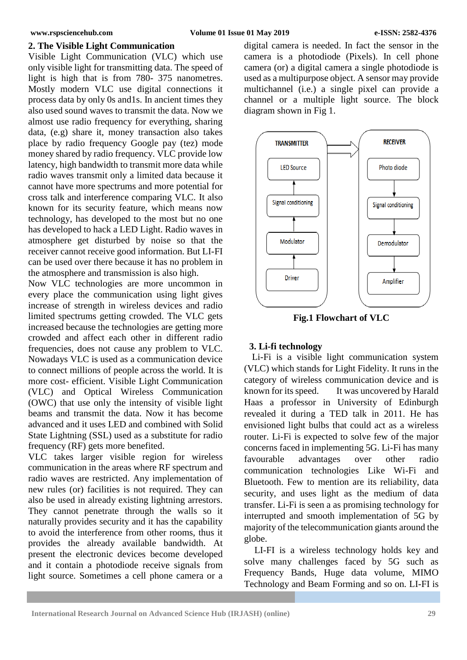#### **2. The Visible Light Communication**

Visible Light Communication (VLC) which use only visible light for transmitting data. The speed of light is high that is from 780- 375 nanometres. Mostly modern VLC use digital connections it process data by only 0s and1s. In ancient times they also used sound waves to transmit the data. Now we almost use radio frequency for everything, sharing data, (e.g) share it, money transaction also takes place by radio frequency Google pay (tez) mode money shared by radio frequency. VLC provide low latency, high bandwidth to transmit more data while radio waves transmit only a limited data because it cannot have more spectrums and more potential for cross talk and interference comparing VLC. It also known for its security feature, which means now technology, has developed to the most but no one has developed to hack a LED Light. Radio waves in atmosphere get disturbed by noise so that the receiver cannot receive good information. But LI-FI can be used over there because it has no problem in the atmosphere and transmission is also high.

Now VLC technologies are more uncommon in every place the communication using light gives increase of strength in wireless devices and radio limited spectrums getting crowded. The VLC gets increased because the technologies are getting more crowded and affect each other in different radio frequencies, does not cause any problem to VLC. Nowadays VLC is used as a communication device to connect millions of people across the world. It is more cost- efficient. Visible Light Communication (VLC) and Optical Wireless Communication (OWC) that use only the intensity of visible light beams and transmit the data. Now it has become advanced and it uses LED and combined with Solid State Lightning (SSL) used as a substitute for radio frequency (RF) gets more benefited.

VLC takes larger visible region for wireless communication in the areas where RF spectrum and radio waves are restricted. Any implementation of new rules (or) facilities is not required. They can also be used in already existing lightning arrestors. They cannot penetrate through the walls so it naturally provides security and it has the capability to avoid the interference from other rooms, thus it provides the already available bandwidth. At present the electronic devices become developed and it contain a photodiode receive signals from light source. Sometimes a cell phone camera or a

digital camera is needed. In fact the sensor in the camera is a photodiode (Pixels). In cell phone camera (or) a digital camera a single photodiode is used as a multipurpose object. A sensor may provide multichannel (i.e.) a single pixel can provide a channel or a multiple light source. The block diagram shown in Fig 1.



**Fig.1 Flowchart of VLC**

## **3. Li-fi technology**

Li-Fi is a visible light communication system (VLC) which stands for Light Fidelity. It runs in the category of wireless communication device and is known for its speed. It was uncovered by Harald Haas a professor in University of Edinburgh revealed it during a TED talk in 2011. He has envisioned light bulbs that could act as a wireless router. Li-Fi is expected to solve few of the major concerns faced in implementing 5G. Li-Fi has many favourable advantages over other radio communication technologies Like Wi-Fi and Bluetooth. Few to mention are its reliability, data security, and uses light as the medium of data transfer. Li-Fi is seen a as promising technology for interrupted and smooth implementation of 5G by majority of the telecommunication giants around the globe.

LI-FI is a wireless technology holds key and solve many challenges faced by 5G such as Frequency Bands, Huge data volume, MIMO Technology and Beam Forming and so on. LI-FI is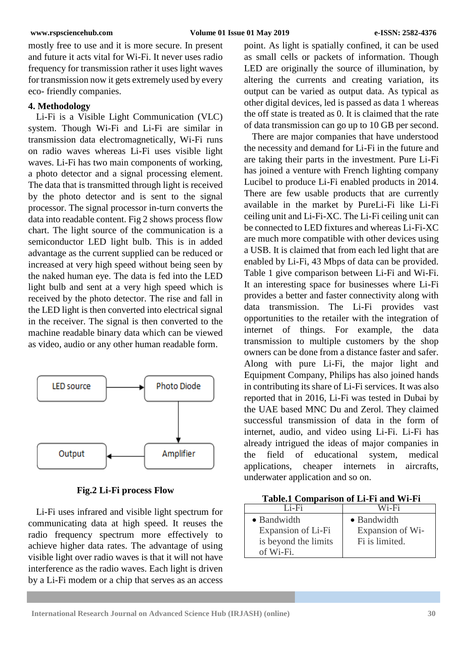mostly free to use and it is more secure. In present and future it acts vital for Wi-Fi. It never uses radio frequency for transmission rather it uses light waves for transmission now it gets extremely used by every eco- friendly companies.

## **4. Methodology**

Li-Fi is a Visible Light Communication (VLC) system. Though Wi-Fi and Li-Fi are similar in transmission data electromagnetically, Wi-Fi runs on radio waves whereas Li-Fi uses visible light waves. Li-Fi has two main components of working, a photo detector and a signal processing element. The data that is transmitted through light is received by the photo detector and is sent to the signal processor. The signal processor in-turn converts the data into readable content. Fig 2 shows process flow chart. The light source of the communication is a semiconductor LED light bulb. This is in added advantage as the current supplied can be reduced or increased at very high speed without being seen by the naked human eye. The data is fed into the LED light bulb and sent at a very high speed which is received by the photo detector. The rise and fall in the LED light is then converted into electrical signal in the receiver. The signal is then converted to the machine readable binary data which can be viewed as video, audio or any other human readable form.



**Fig.2 Li-Fi process Flow**

Li-Fi uses infrared and visible light spectrum for communicating data at high speed. It reuses the radio frequency spectrum more effectively to achieve higher data rates. The advantage of using visible light over radio waves is that it will not have interference as the radio waves. Each light is driven by a Li-Fi modem or a chip that serves as an access

point. As light is spatially confined, it can be used as small cells or packets of information. Though LED are originally the source of illumination, by altering the currents and creating variation, its output can be varied as output data. As typical as other digital devices, led is passed as data 1 whereas the off state is treated as 0. It is claimed that the rate of data transmission can go up to 10 GB per second.

There are major companies that have understood the necessity and demand for Li-Fi in the future and are taking their parts in the investment. Pure Li-Fi has joined a venture with French lighting company Lucibel to produce Li-Fi enabled products in 2014. There are few usable products that are currently available in the market by PureLi-Fi like Li-Fi ceiling unit and Li-Fi-XC. The Li-Fi ceiling unit can be connected to LED fixtures and whereas Li-Fi-XC are much more compatible with other devices using a USB. It is claimed that from each led light that are enabled by Li-Fi, 43 Mbps of data can be provided. Table 1 give comparison between Li-Fi and Wi-Fi. It an interesting space for businesses where Li-Fi provides a better and faster connectivity along with data transmission. The Li-Fi provides vast opportunities to the retailer with the integration of internet of things. For example, the data transmission to multiple customers by the shop owners can be done from a distance faster and safer. Along with pure Li-Fi, the major light and Equipment Company, Philips has also joined hands in contributing its share of Li-Fi services. It was also reported that in 2016, Li-Fi was tested in Dubai by the UAE based MNC Du and Zerol. They claimed successful transmission of data in the form of internet, audio, and video using Li-Fi. Li-Fi has already intrigued the ideas of major companies in the field of educational system, medical applications, cheaper internets in aircrafts, underwater application and so on.

|  |  |  | Table.1 Comparison of Li-Fi and Wi-Fi |  |  |
|--|--|--|---------------------------------------|--|--|
|--|--|--|---------------------------------------|--|--|

| Li-Fi                                                                  | Wi-Fi                                             |
|------------------------------------------------------------------------|---------------------------------------------------|
| • Bandwidth<br>Expansion of Li-Fi<br>is beyond the limits<br>of Wi-Fi. | • Bandwidth<br>Expansion of Wi-<br>Fi is limited. |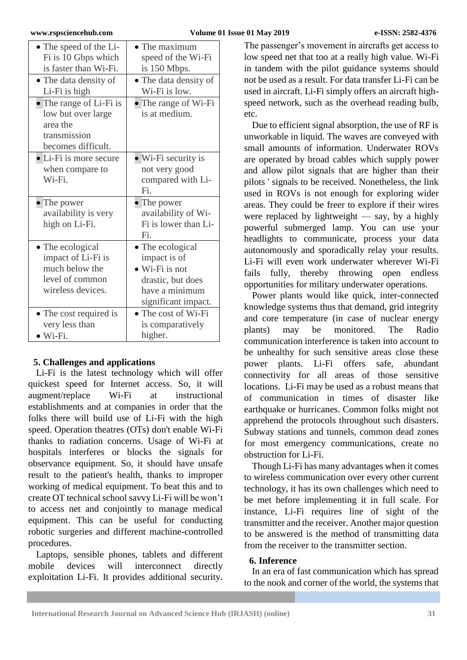| • The speed of the Li-<br>Fi is 10 Gbps which<br>is faster than Wi-Fi.                           | $\bullet$ The maximum<br>speed of the Wi-Fi<br>is 150 Mbps.                                                              |  |  |
|--------------------------------------------------------------------------------------------------|--------------------------------------------------------------------------------------------------------------------------|--|--|
| • The data density of<br>Li-Fi is high                                                           | • The data density of<br>Wi-Fi is low.                                                                                   |  |  |
| • The range of Li-Fi is<br>low but over large<br>area the<br>transmission<br>becomes difficult.  | • The range of Wi-Fi<br>is at medium.                                                                                    |  |  |
| • Li-Fi is more secure<br>when compare to<br>Wi-Fi.                                              | $\bullet$ Wi-Fi security is<br>not very good<br>compared with Li-<br>Fi.                                                 |  |  |
| • The power<br>availability is very<br>high on Li-Fi.                                            | • The power<br>availability of Wi-<br>Fi is lower than Li-<br>Fi.                                                        |  |  |
| • The ecological<br>impact of Li-Fi is<br>much below the<br>level of common<br>wireless devices. | • The ecological<br>impact is of<br>$\bullet$ Wi-Fi is not<br>drastic, but does<br>have a minimum<br>significant impact. |  |  |
| • The cost required is<br>very less than<br>$\bullet$ Wi-Fi.                                     | $\bullet$ The cost of Wi-Fi<br>is comparatively<br>higher.                                                               |  |  |

# **5. Challenges and applications**

Li-Fi is the latest technology which will offer quickest speed for Internet access. So, it will augment/replace Wi-Fi at instructional establishments and at companies in order that the folks there will build use of Li-Fi with the high speed. Operation theatres (OTs) don't enable Wi-Fi thanks to radiation concerns. Usage of Wi-Fi at hospitals interferes or blocks the signals for observance equipment. So, it should have unsafe result to the patient's health, thanks to improper working of medical equipment. To beat this and to create OT technical school savvy Li-Fi will be won't to access net and conjointly to manage medical equipment. This can be useful for conducting robotic surgeries and different machine-controlled procedures.

Laptops, sensible phones, tablets and different mobile devices will interconnect directly exploitation Li-Fi. It provides additional security.

The passenger's movement in aircrafts get access to low speed net that too at a really high value. Wi-Fi in tandem with the pilot guidance systems should not be used as a result. For data transfer Li-Fi can be used in aircraft. Li-Fi simply offers an aircraft highspeed network, such as the overhead reading bulb, etc.

Due to efficient signal absorption, the use of RF is unworkable in liquid. The waves are conveyed with small amounts of information. Underwater ROVs are operated by broad cables which supply power and allow pilot signals that are higher than their pilots ' signals to be received. Nonetheless, the link used in ROVs is not enough for exploring wider areas. They could be freer to explore if their wires were replaced by lightweight  $-$  say, by a highly powerful submerged lamp. You can use your headlights to communicate, process your data autonomously and sporadically relay your results. Li-Fi will even work underwater wherever Wi-Fi fails fully, thereby throwing open endless opportunities for military underwater operations.

Power plants would like quick, inter-connected knowledge systems thus that demand, grid integrity and core temperature (in case of nuclear energy plants) may be monitored. The Radio communication interference is taken into account to be unhealthy for such sensitive areas close these power plants. Li-Fi offers safe, abundant connectivity for all areas of those sensitive locations. Li-Fi may be used as a robust means that of communication in times of disaster like earthquake or hurricanes. Common folks might not apprehend the protocols throughout such disasters. Subway stations and tunnels, common dead zones for most emergency communications, create no obstruction for Li-Fi.

Though Li-Fi has many advantages when it comes to wireless communication over every other current technology, it has its own challenges which need to be met before implementing it in full scale. For instance, Li-Fi requires line of sight of the transmitter and the receiver. Another major question to be answered is the method of transmitting data from the receiver to the transmitter section.

## **6. Inference**

In an era of fast communication which has spread to the nook and corner of the world, the systems that